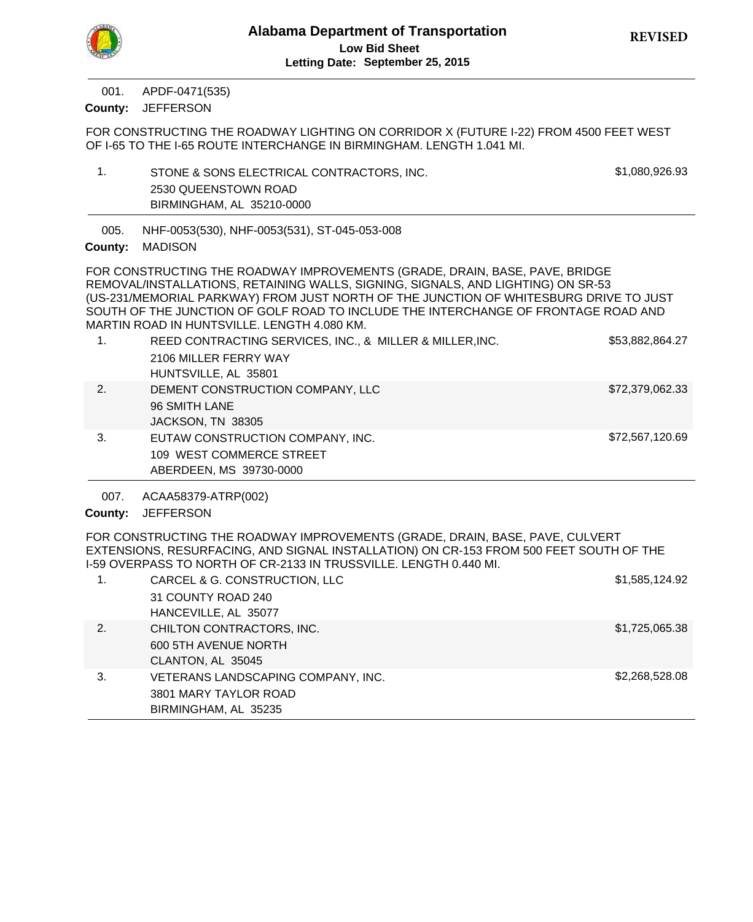APDF-0471(535) 001.

County: JEFFERSON

FOR CONSTRUCTING THE ROADWAY LIGHTING ON CORRIDOR X (FUTURE I-22) FROM 4500 FEET WEST OF I-65 TO THE I-65 ROUTE INTERCHANGE IN BIRMINGHAM. LENGTH 1.041 MI.

- 1. STONE & SONS ELECTRICAL CONTRACTORS, INC.  $$1,080,926.93$ 2530 QUEENSTOWN ROAD BIRMINGHAM, AL 35210-0000
- NHF-0053(530), NHF-0053(531), ST-045-053-008 005.

## County: MADISON

FOR CONSTRUCTING THE ROADWAY IMPROVEMENTS (GRADE, DRAIN, BASE, PAVE, BRIDGE REMOVAL/INSTALLATIONS, RETAINING WALLS, SIGNING, SIGNALS, AND LIGHTING) ON SR-53 (US-231/MEMORIAL PARKWAY) FROM JUST NORTH OF THE JUNCTION OF WHITESBURG DRIVE TO JUST SOUTH OF THE JUNCTION OF GOLF ROAD TO INCLUDE THE INTERCHANGE OF FRONTAGE ROAD AND MARTIN ROAD IN HUNTSVILLE. LENGTH 4.080 KM.

| 1. | REED CONTRACTING SERVICES, INC., & MILLER & MILLER, INC. | \$53,882,864.27 |
|----|----------------------------------------------------------|-----------------|
|    | 2106 MILLER FERRY WAY                                    |                 |
|    | HUNTSVILLE, AL 35801                                     |                 |
| 2. | DEMENT CONSTRUCTION COMPANY, LLC                         | \$72,379,062.33 |
|    | 96 SMITH LANE                                            |                 |
|    | JACKSON, TN 38305                                        |                 |
| 3. | EUTAW CONSTRUCTION COMPANY, INC.                         | \$72,567,120.69 |
|    | 109 WEST COMMERCE STREET                                 |                 |
|    | ABERDEEN, MS 39730-0000                                  |                 |

ACAA58379-ATRP(002) 007.

# County: JEFFERSON

FOR CONSTRUCTING THE ROADWAY IMPROVEMENTS (GRADE, DRAIN, BASE, PAVE, CULVERT EXTENSIONS, RESURFACING, AND SIGNAL INSTALLATION) ON CR-153 FROM 500 FEET SOUTH OF THE I-59 OVERPASS TO NORTH OF CR-2133 IN TRUSSVILLE. LENGTH 0.440 MI.

|    | CARCEL & G. CONSTRUCTION, LLC                                                       | \$1,585,124.92 |
|----|-------------------------------------------------------------------------------------|----------------|
|    | 31 COUNTY ROAD 240<br>HANCEVILLE, AL 35077                                          |                |
| 2. | CHILTON CONTRACTORS, INC.<br>600 5TH AVENUE NORTH<br>CLANTON, AL 35045              | \$1,725,065.38 |
| 3. | VETERANS LANDSCAPING COMPANY, INC.<br>3801 MARY TAYLOR ROAD<br>BIRMINGHAM, AL 35235 | \$2,268,528.08 |

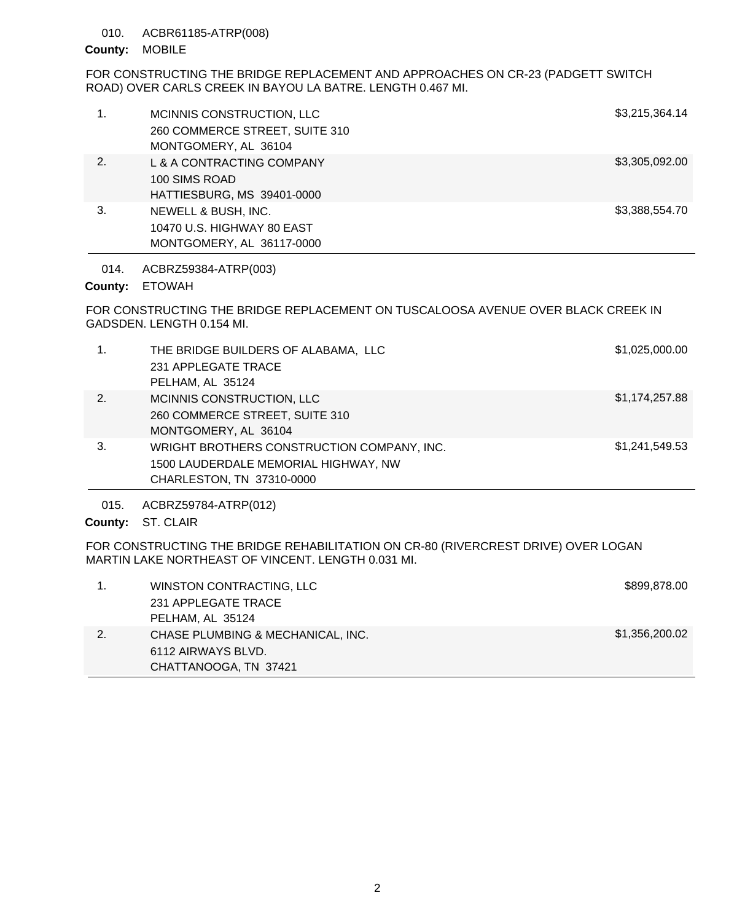## 010. ACBR61185-ATRP(008)

### County: MOBILE

FOR CONSTRUCTING THE BRIDGE REPLACEMENT AND APPROACHES ON CR-23 (PADGETT SWITCH ROAD) OVER CARLS CREEK IN BAYOU LA BATRE. LENGTH 0.467 MI.

| 1. | MCINNIS CONSTRUCTION, LLC<br>260 COMMERCE STREET, SUITE 310<br>MONTGOMERY, AL 36104 | \$3,215,364.14 |
|----|-------------------------------------------------------------------------------------|----------------|
| 2. | L & A CONTRACTING COMPANY<br>100 SIMS ROAD<br>HATTIESBURG, MS 39401-0000            | \$3,305,092.00 |
| 3. | NEWELL & BUSH, INC.<br>10470 U.S. HIGHWAY 80 EAST<br>MONTGOMERY, AL 36117-0000      | \$3,388,554.70 |

014. ACBRZ59384-ATRP(003)

## County: ETOWAH

FOR CONSTRUCTING THE BRIDGE REPLACEMENT ON TUSCALOOSA AVENUE OVER BLACK CREEK IN GADSDEN. LENGTH 0.154 MI.

| 1. | THE BRIDGE BUILDERS OF ALABAMA, LLC<br>231 APPLEGATE TRACE<br>PELHAM, AL 35124                                  | \$1,025,000.00 |
|----|-----------------------------------------------------------------------------------------------------------------|----------------|
| 2. | MCINNIS CONSTRUCTION, LLC<br>260 COMMERCE STREET, SUITE 310<br>MONTGOMERY, AL 36104                             | \$1,174,257.88 |
| 3. | WRIGHT BROTHERS CONSTRUCTION COMPANY, INC.<br>1500 LAUDERDALE MEMORIAL HIGHWAY, NW<br>CHARLESTON, TN 37310-0000 | \$1,241,549.53 |

015. ACBRZ59784-ATRP(012)

County: ST. CLAIR

FOR CONSTRUCTING THE BRIDGE REHABILITATION ON CR-80 (RIVERCREST DRIVE) OVER LOGAN MARTIN LAKE NORTHEAST OF VINCENT. LENGTH 0.031 MI.

|    | WINSTON CONTRACTING, LLC          | \$899,878.00   |
|----|-----------------------------------|----------------|
|    | 231 APPLEGATE TRACE               |                |
|    | PELHAM, AL 35124                  |                |
| 2. | CHASE PLUMBING & MECHANICAL, INC. | \$1,356,200.02 |
|    | 6112 AIRWAYS BLVD.                |                |
|    | CHATTANOOGA, TN 37421             |                |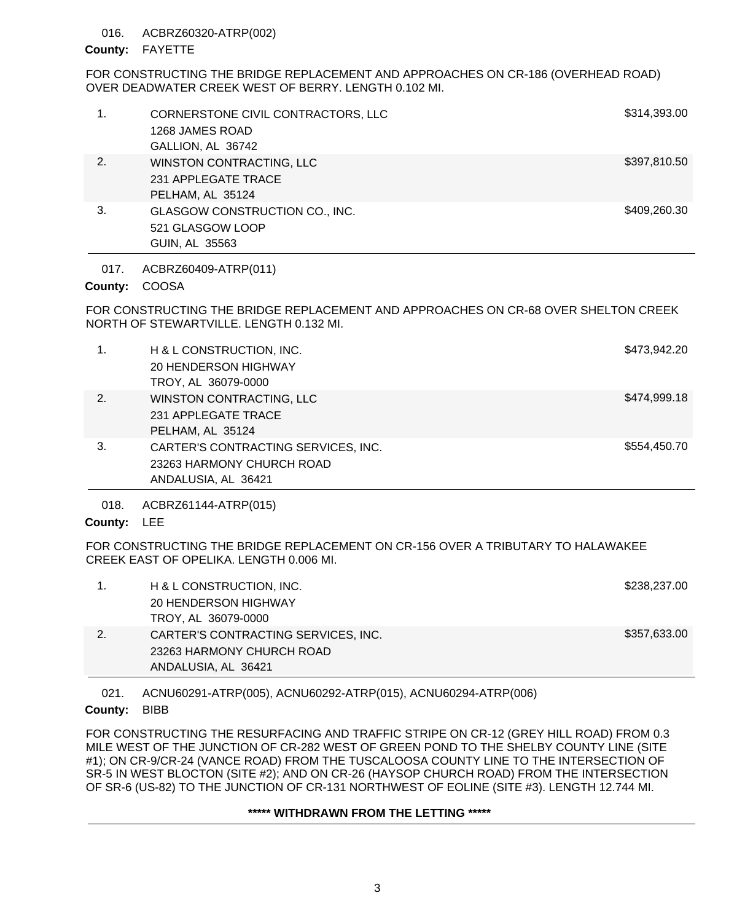#### ACBRZ60320-ATRP(002) 016.

### County: FAYETTE

FOR CONSTRUCTING THE BRIDGE REPLACEMENT AND APPROACHES ON CR-186 (OVERHEAD ROAD) OVER DEADWATER CREEK WEST OF BERRY. LENGTH 0.102 MI.

| 1. | CORNERSTONE CIVIL CONTRACTORS, LLC<br>1268 JAMES ROAD<br>GALLION, AL 36742 | \$314,393.00 |
|----|----------------------------------------------------------------------------|--------------|
| 2. | WINSTON CONTRACTING, LLC<br>231 APPLEGATE TRACE<br>PELHAM, AL 35124        | \$397,810.50 |
| 3. | GLASGOW CONSTRUCTION CO., INC.<br>521 GLASGOW LOOP<br>GUIN, AL 35563       | \$409,260.30 |

ACBRZ60409-ATRP(011) 017.

## County: COOSA

FOR CONSTRUCTING THE BRIDGE REPLACEMENT AND APPROACHES ON CR-68 OVER SHELTON CREEK NORTH OF STEWARTVILLE. LENGTH 0.132 MI.

| 1. | H & L CONSTRUCTION, INC.<br><b>20 HENDERSON HIGHWAY</b><br>TROY, AL 36079-0000          | \$473,942.20 |
|----|-----------------------------------------------------------------------------------------|--------------|
| 2. | WINSTON CONTRACTING, LLC<br>231 APPLEGATE TRACE<br>PELHAM, AL 35124                     | \$474,999.18 |
| 3. | CARTER'S CONTRACTING SERVICES, INC.<br>23263 HARMONY CHURCH ROAD<br>ANDALUSIA, AL 36421 | \$554,450.70 |

ACBRZ61144-ATRP(015) 018.

# County: LEE

FOR CONSTRUCTING THE BRIDGE REPLACEMENT ON CR-156 OVER A TRIBUTARY TO HALAWAKEE CREEK EAST OF OPELIKA. LENGTH 0.006 MI.

| H & L CONSTRUCTION, INC.            | \$238,237.00 |
|-------------------------------------|--------------|
| 20 HENDERSON HIGHWAY                |              |
| TROY, AL 36079-0000                 |              |
| CARTER'S CONTRACTING SERVICES, INC. | \$357,633.00 |
| 23263 HARMONY CHURCH ROAD           |              |
| ANDALUSIA, AL 36421                 |              |

ACNU60291-ATRP(005), ACNU60292-ATRP(015), ACNU60294-ATRP(006) 021.

## County: BIBB

FOR CONSTRUCTING THE RESURFACING AND TRAFFIC STRIPE ON CR-12 (GREY HILL ROAD) FROM 0.3 MILE WEST OF THE JUNCTION OF CR-282 WEST OF GREEN POND TO THE SHELBY COUNTY LINE (SITE #1); ON CR-9/CR-24 (VANCE ROAD) FROM THE TUSCALOOSA COUNTY LINE TO THE INTERSECTION OF SR-5 IN WEST BLOCTON (SITE #2); AND ON CR-26 (HAYSOP CHURCH ROAD) FROM THE INTERSECTION OF SR-6 (US-82) TO THE JUNCTION OF CR-131 NORTHWEST OF EOLINE (SITE #3). LENGTH 12.744 MI.

# **\*\*\*\*\* WITHDRAWN FROM THE LETTING \*\*\*\*\***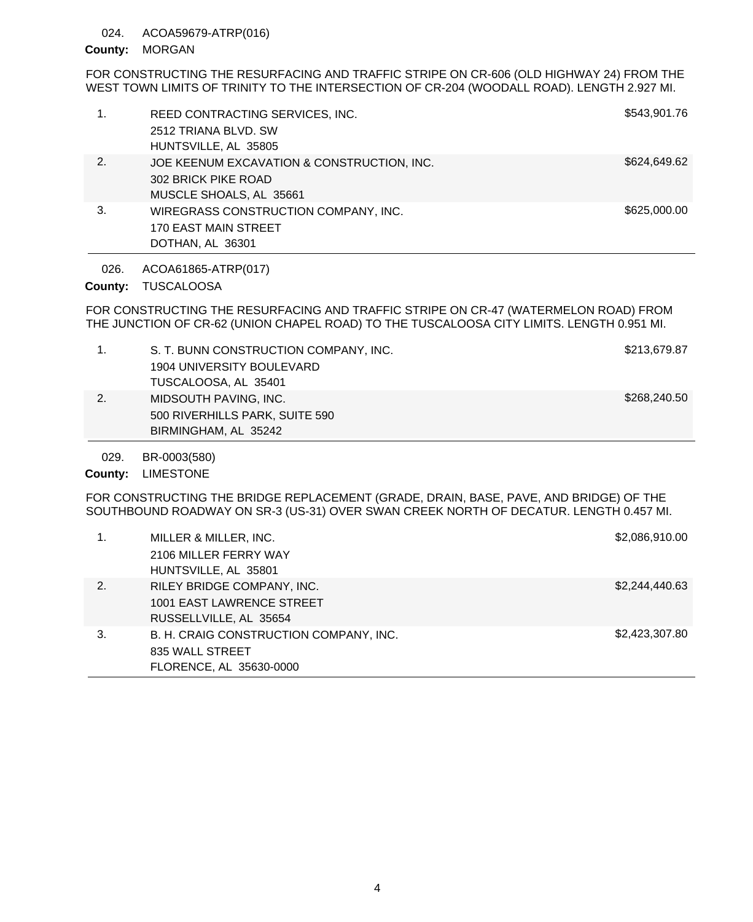#### ACOA59679-ATRP(016) 024.

### County: MORGAN

FOR CONSTRUCTING THE RESURFACING AND TRAFFIC STRIPE ON CR-606 (OLD HIGHWAY 24) FROM THE WEST TOWN LIMITS OF TRINITY TO THE INTERSECTION OF CR-204 (WOODALL ROAD). LENGTH 2.927 MI.

| 1. | REED CONTRACTING SERVICES, INC.<br>2512 TRIANA BLVD, SW           | \$543,901.76 |
|----|-------------------------------------------------------------------|--------------|
|    | HUNTSVILLE, AL 35805                                              |              |
| 2. | JOE KEENUM EXCAVATION & CONSTRUCTION, INC.<br>302 BRICK PIKE ROAD | \$624,649.62 |
|    |                                                                   |              |
|    | MUSCLE SHOALS, AL 35661                                           |              |
| 3. | WIREGRASS CONSTRUCTION COMPANY, INC.                              | \$625,000.00 |
|    | <b>170 EAST MAIN STREET</b>                                       |              |
|    | DOTHAN, AL 36301                                                  |              |
|    |                                                                   |              |

ACOA61865-ATRP(017) 026.

County: TUSCALOOSA

FOR CONSTRUCTING THE RESURFACING AND TRAFFIC STRIPE ON CR-47 (WATERMELON ROAD) FROM THE JUNCTION OF CR-62 (UNION CHAPEL ROAD) TO THE TUSCALOOSA CITY LIMITS. LENGTH 0.951 MI.

|    | S. T. BUNN CONSTRUCTION COMPANY, INC. | \$213,679.87 |
|----|---------------------------------------|--------------|
|    | 1904 UNIVERSITY BOULEVARD             |              |
|    | TUSCALOOSA, AL 35401                  |              |
| 2. | MIDSOUTH PAVING, INC.                 | \$268,240.50 |
|    | 500 RIVERHILLS PARK, SUITE 590        |              |
|    | BIRMINGHAM, AL 35242                  |              |

BR-0003(580) 029.

County: LIMESTONE

FOR CONSTRUCTING THE BRIDGE REPLACEMENT (GRADE, DRAIN, BASE, PAVE, AND BRIDGE) OF THE SOUTHBOUND ROADWAY ON SR-3 (US-31) OVER SWAN CREEK NORTH OF DECATUR. LENGTH 0.457 MI.

|    | MILLER & MILLER, INC.<br>2106 MILLER FERRY WAY | \$2,086,910.00 |
|----|------------------------------------------------|----------------|
|    | HUNTSVILLE, AL 35801                           |                |
| 2. | RILEY BRIDGE COMPANY, INC.                     | \$2,244,440.63 |
|    | 1001 EAST LAWRENCE STREET                      |                |
|    | RUSSELLVILLE, AL 35654                         |                |
| 3. | B. H. CRAIG CONSTRUCTION COMPANY, INC.         | \$2,423,307.80 |
|    | 835 WALL STREET                                |                |
|    | FLORENCE, AL 35630-0000                        |                |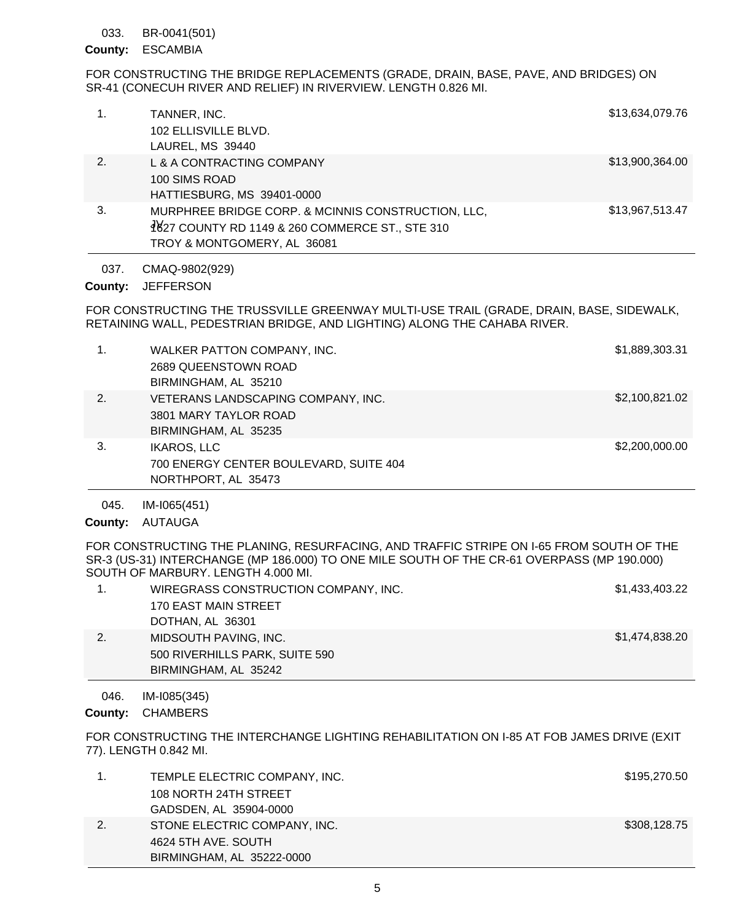BR-0041(501) 033.

## ESCAMBIA **County:**

FOR CONSTRUCTING THE BRIDGE REPLACEMENTS (GRADE, DRAIN, BASE, PAVE, AND BRIDGES) ON SR-41 (CONECUH RIVER AND RELIEF) IN RIVERVIEW. LENGTH 0.826 MI.

|    | TANNER, INC.                                       | \$13,634,079.76 |
|----|----------------------------------------------------|-----------------|
|    | 102 ELLISVILLE BLVD.                               |                 |
|    | LAUREL, MS 39440                                   |                 |
| 2. | L & A CONTRACTING COMPANY                          | \$13,900,364.00 |
|    | 100 SIMS ROAD                                      |                 |
|    | HATTIESBURG, MS 39401-0000                         |                 |
| 3. | MURPHREE BRIDGE CORP. & MCINNIS CONSTRUCTION, LLC, | \$13,967,513.47 |
|    | 4827 COUNTY RD 1149 & 260 COMMERCE ST., STE 310    |                 |
|    | TROY & MONTGOMERY, AL 36081                        |                 |

CMAQ-9802(929) 037.

#### **JEFFERSON County:**

FOR CONSTRUCTING THE TRUSSVILLE GREENWAY MULTI-USE TRAIL (GRADE, DRAIN, BASE, SIDEWALK, RETAINING WALL, PEDESTRIAN BRIDGE, AND LIGHTING) ALONG THE CAHABA RIVER.

| 1. | WALKER PATTON COMPANY, INC.<br>2689 QUEENSTOWN ROAD<br>BIRMINGHAM, AL 35210         | \$1,889,303.31 |
|----|-------------------------------------------------------------------------------------|----------------|
| 2. | VETERANS LANDSCAPING COMPANY, INC.<br>3801 MARY TAYLOR ROAD<br>BIRMINGHAM, AL 35235 | \$2,100,821.02 |
| 3. | <b>IKAROS, LLC</b><br>700 ENERGY CENTER BOULEVARD, SUITE 404<br>NORTHPORT, AL 35473 | \$2,200,000.00 |

IM-I065(451) 045.

# County: AUTAUGA

FOR CONSTRUCTING THE PLANING, RESURFACING, AND TRAFFIC STRIPE ON I-65 FROM SOUTH OF THE SR-3 (US-31) INTERCHANGE (MP 186.000) TO ONE MILE SOUTH OF THE CR-61 OVERPASS (MP 190.000) SOUTH OF MARBURY. LENGTH 4.000 MI.

|    | WIREGRASS CONSTRUCTION COMPANY, INC. | \$1,433,403.22 |
|----|--------------------------------------|----------------|
|    | 170 EAST MAIN STREET                 |                |
|    | DOTHAN, AL 36301                     |                |
| 2. | MIDSOUTH PAVING, INC.                | \$1,474,838.20 |
|    | 500 RIVERHILLS PARK, SUITE 590       |                |
|    | BIRMINGHAM, AL 35242                 |                |

IM-I085(345) 046.

County: CHAMBERS

FOR CONSTRUCTING THE INTERCHANGE LIGHTING REHABILITATION ON I-85 AT FOB JAMES DRIVE (EXIT 77). LENGTH 0.842 MI.

|    | TEMPLE ELECTRIC COMPANY, INC. | \$195,270.50 |
|----|-------------------------------|--------------|
|    | 108 NORTH 24TH STREET         |              |
|    | GADSDEN, AL 35904-0000        |              |
| 2. | STONE ELECTRIC COMPANY, INC.  | \$308,128.75 |
|    | 4624 5TH AVE, SOUTH           |              |
|    | BIRMINGHAM, AL 35222-0000     |              |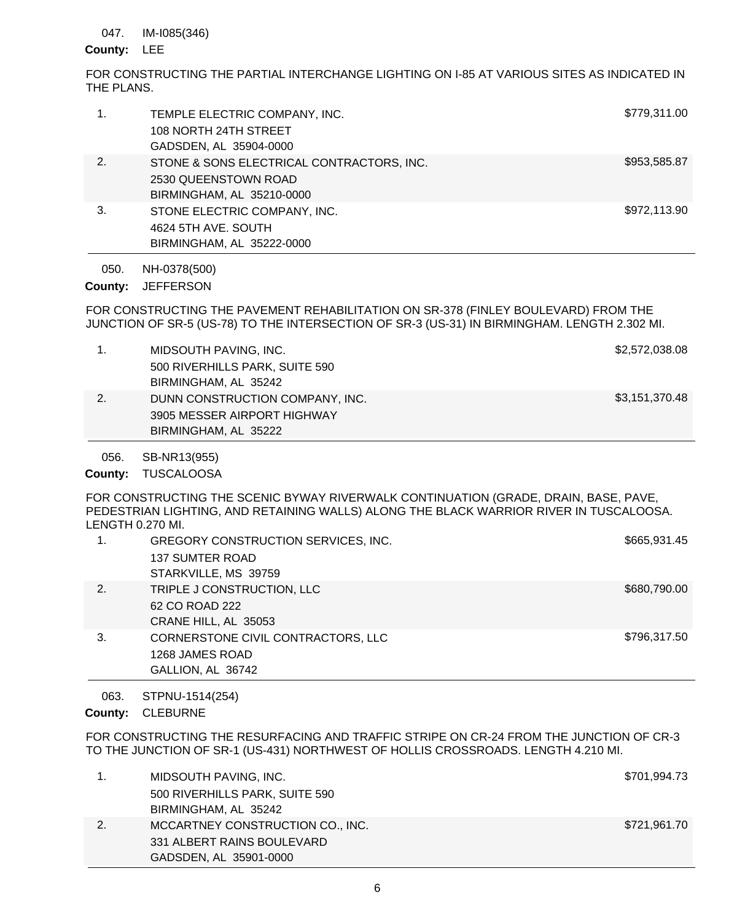#### IM-I085(346) 047.

## County: LEE

FOR CONSTRUCTING THE PARTIAL INTERCHANGE LIGHTING ON I-85 AT VARIOUS SITES AS INDICATED IN THE PLANS.

|    | TEMPLE ELECTRIC COMPANY, INC.<br>108 NORTH 24TH STREET<br>GADSDEN, AL 35904-0000               | \$779,311.00 |
|----|------------------------------------------------------------------------------------------------|--------------|
| 2. | STONE & SONS ELECTRICAL CONTRACTORS, INC.<br>2530 QUEENSTOWN ROAD<br>BIRMINGHAM, AL 35210-0000 | \$953,585.87 |
| 3. | STONE ELECTRIC COMPANY, INC.<br>4624 5TH AVE, SOUTH<br>BIRMINGHAM, AL 35222-0000               | \$972,113.90 |
|    |                                                                                                |              |

NH-0378(500) **JEFFERSON** 050. **County:**

FOR CONSTRUCTING THE PAVEMENT REHABILITATION ON SR-378 (FINLEY BOULEVARD) FROM THE JUNCTION OF SR-5 (US-78) TO THE INTERSECTION OF SR-3 (US-31) IN BIRMINGHAM. LENGTH 2.302 MI.

|    | MIDSOUTH PAVING, INC.           | \$2,572,038.08 |
|----|---------------------------------|----------------|
|    | 500 RIVERHILLS PARK, SUITE 590  |                |
|    | BIRMINGHAM, AL 35242            |                |
| 2. | DUNN CONSTRUCTION COMPANY, INC. | \$3,151,370.48 |
|    | 3905 MESSER AIRPORT HIGHWAY     |                |
|    | BIRMINGHAM, AL 35222            |                |

SB-NR13(955) 056.

County: TUSCALOOSA

FOR CONSTRUCTING THE SCENIC BYWAY RIVERWALK CONTINUATION (GRADE, DRAIN, BASE, PAVE, PEDESTRIAN LIGHTING, AND RETAINING WALLS) ALONG THE BLACK WARRIOR RIVER IN TUSCALOOSA. LENGTH 0.270 MI.

|    | GREGORY CONSTRUCTION SERVICES, INC.<br><b>137 SUMTER ROAD</b><br>STARKVILLE, MS 39759 | \$665,931.45 |
|----|---------------------------------------------------------------------------------------|--------------|
| 2. | TRIPLE J CONSTRUCTION, LLC<br>62 CO ROAD 222<br>CRANE HILL, AL 35053                  | \$680,790.00 |
| 3. | CORNERSTONE CIVIL CONTRACTORS, LLC<br>1268 JAMES ROAD<br>GALLION, AL 36742            | \$796,317.50 |

STPNU-1514(254) 063.

County: CLEBURNE

FOR CONSTRUCTING THE RESURFACING AND TRAFFIC STRIPE ON CR-24 FROM THE JUNCTION OF CR-3 TO THE JUNCTION OF SR-1 (US-431) NORTHWEST OF HOLLIS CROSSROADS. LENGTH 4.210 MI.

|    | MIDSOUTH PAVING, INC.            | \$701,994.73 |
|----|----------------------------------|--------------|
|    | 500 RIVERHILLS PARK, SUITE 590   |              |
|    | BIRMINGHAM, AL 35242             |              |
| 2. | MCCARTNEY CONSTRUCTION CO., INC. | \$721,961.70 |
|    | 331 ALBERT RAINS BOULEVARD       |              |
|    | GADSDEN, AL 35901-0000           |              |